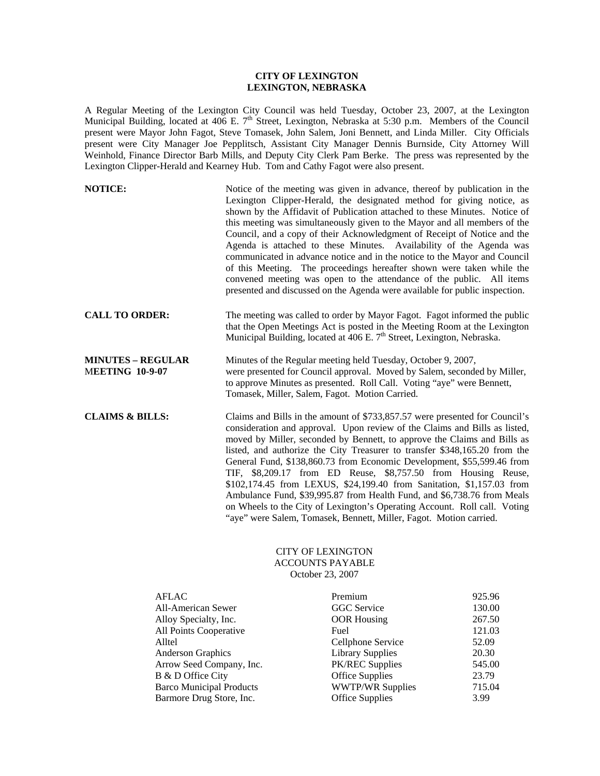## **CITY OF LEXINGTON LEXINGTON, NEBRASKA**

A Regular Meeting of the Lexington City Council was held Tuesday, October 23, 2007, at the Lexington Municipal Building, located at 406 E. 7<sup>th</sup> Street, Lexington, Nebraska at 5:30 p.m. Members of the Council present were Mayor John Fagot, Steve Tomasek, John Salem, Joni Bennett, and Linda Miller. City Officials present were City Manager Joe Pepplitsch, Assistant City Manager Dennis Burnside, City Attorney Will Weinhold, Finance Director Barb Mills, and Deputy City Clerk Pam Berke. The press was represented by the Lexington Clipper-Herald and Kearney Hub. Tom and Cathy Fagot were also present.

| <b>NOTICE:</b>                                     | Notice of the meeting was given in advance, thereof by publication in the<br>Lexington Clipper-Herald, the designated method for giving notice, as<br>shown by the Affidavit of Publication attached to these Minutes. Notice of<br>this meeting was simultaneously given to the Mayor and all members of the<br>Council, and a copy of their Acknowledgment of Receipt of Notice and the<br>Agenda is attached to these Minutes. Availability of the Agenda was<br>communicated in advance notice and in the notice to the Mayor and Council<br>of this Meeting. The proceedings hereafter shown were taken while the<br>convened meeting was open to the attendance of the public. All items<br>presented and discussed on the Agenda were available for public inspection. |
|----------------------------------------------------|-------------------------------------------------------------------------------------------------------------------------------------------------------------------------------------------------------------------------------------------------------------------------------------------------------------------------------------------------------------------------------------------------------------------------------------------------------------------------------------------------------------------------------------------------------------------------------------------------------------------------------------------------------------------------------------------------------------------------------------------------------------------------------|
| <b>CALL TO ORDER:</b>                              | The meeting was called to order by Mayor Fagot. Fagot informed the public<br>that the Open Meetings Act is posted in the Meeting Room at the Lexington<br>Municipal Building, located at 406 E. 7 <sup>th</sup> Street, Lexington, Nebraska.                                                                                                                                                                                                                                                                                                                                                                                                                                                                                                                                  |
| <b>MINUTES - REGULAR</b><br><b>MEETING 10-9-07</b> | Minutes of the Regular meeting held Tuesday, October 9, 2007,<br>were presented for Council approval. Moved by Salem, seconded by Miller,<br>to approve Minutes as presented. Roll Call. Voting "aye" were Bennett,<br>Tomasek, Miller, Salem, Fagot. Motion Carried.                                                                                                                                                                                                                                                                                                                                                                                                                                                                                                         |
| <b>CLAIMS &amp; BILLS:</b>                         | Claims and Bills in the amount of \$733,857.57 were presented for Council's<br>consideration and approval. Upon review of the Claims and Bills as listed,<br>moved by Miller, seconded by Bennett, to approve the Claims and Bills as<br>listed, and authorize the City Treasurer to transfer \$348,165.20 from the<br>General Fund, \$138,860.73 from Economic Development, \$55,599.46 from<br>TIF, \$8,209.17 from ED Reuse, \$8,757.50 from Housing Reuse,<br>\$102,174.45 from LEXUS, \$24,199.40 from Sanitation, \$1,157.03 from<br>Ambulance Fund, \$39,995.87 from Health Fund, and \$6,738.76 from Meals<br>on Wheels to the City of Lexington's Operating Account. Roll call. Voting<br>"aye" were Salem, Tomasek, Bennett, Miller, Fagot. Motion carried.         |

## CITY OF LEXINGTON ACCOUNTS PAYABLE October 23, 2007

| <b>AFLAC</b>                    | Premium                 | 925.96 |
|---------------------------------|-------------------------|--------|
| All-American Sewer              | <b>GGC</b> Service      | 130.00 |
| Alloy Specialty, Inc.           | <b>OOR</b> Housing      | 267.50 |
| All Points Cooperative          | Fuel                    | 121.03 |
| Alltel                          | Cellphone Service       | 52.09  |
| <b>Anderson Graphics</b>        | <b>Library Supplies</b> | 20.30  |
| Arrow Seed Company, Inc.        | <b>PK/REC Supplies</b>  | 545.00 |
| B & D Office City               | <b>Office Supplies</b>  | 23.79  |
| <b>Barco Municipal Products</b> | <b>WWTP/WR Supplies</b> | 715.04 |
| Barmore Drug Store, Inc.        | <b>Office Supplies</b>  | 3.99   |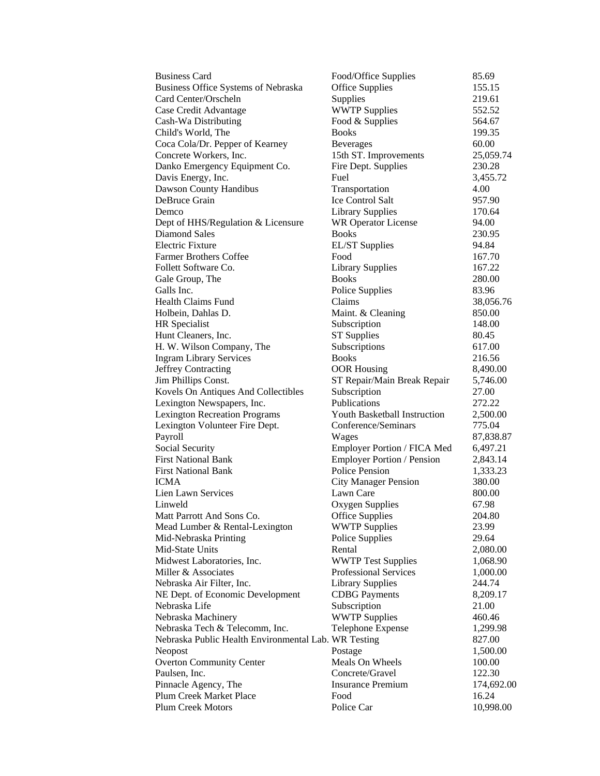| <b>Business Card</b>                                 | Food/Office Supplies               | 85.69                |
|------------------------------------------------------|------------------------------------|----------------------|
| Business Office Systems of Nebraska                  | <b>Office Supplies</b>             | 155.15               |
| Card Center/Orscheln                                 | Supplies                           | 219.61               |
| Case Credit Advantage                                | <b>WWTP Supplies</b>               | 552.52               |
| Cash-Wa Distributing                                 | Food & Supplies                    | 564.67               |
| Child's World, The                                   | <b>Books</b>                       | 199.35               |
| Coca Cola/Dr. Pepper of Kearney                      | <b>Beverages</b>                   | 60.00                |
| Concrete Workers, Inc.                               | 15th ST. Improvements              | 25,059.74            |
| Danko Emergency Equipment Co.                        | Fire Dept. Supplies                | 230.28               |
| Davis Energy, Inc.                                   | Fuel                               | 3,455.72             |
| Dawson County Handibus                               | Transportation                     | 4.00                 |
| DeBruce Grain                                        | <b>Ice Control Salt</b>            | 957.90               |
| Demco                                                | <b>Library Supplies</b>            | 170.64               |
| Dept of HHS/Regulation & Licensure                   | <b>WR Operator License</b>         | 94.00                |
| Diamond Sales                                        | <b>Books</b>                       | 230.95               |
| <b>Electric Fixture</b>                              | <b>EL/ST</b> Supplies              | 94.84                |
| <b>Farmer Brothers Coffee</b>                        | Food                               | 167.70               |
| Follett Software Co.                                 | <b>Library Supplies</b>            | 167.22               |
| Gale Group, The                                      | <b>Books</b>                       | 280.00               |
| Galls Inc.                                           | Police Supplies                    | 83.96                |
| <b>Health Claims Fund</b>                            | Claims                             | 38,056.76            |
| Holbein, Dahlas D.                                   | Maint. & Cleaning                  | 850.00               |
| HR Specialist                                        | Subscription                       | 148.00               |
| Hunt Cleaners, Inc.                                  | <b>ST Supplies</b>                 | 80.45                |
| H. W. Wilson Company, The                            | Subscriptions                      | 617.00               |
| <b>Ingram Library Services</b>                       | <b>Books</b>                       | 216.56               |
| Jeffrey Contracting                                  | <b>OOR Housing</b>                 | 8,490.00             |
| Jim Phillips Const.                                  | ST Repair/Main Break Repair        | 5,746.00             |
| Kovels On Antiques And Collectibles                  | Subscription                       | 27.00                |
| Lexington Newspapers, Inc.                           | Publications                       | 272.22               |
| <b>Lexington Recreation Programs</b>                 | Youth Basketball Instruction       | 2,500.00             |
| Lexington Volunteer Fire Dept.                       | Conference/Seminars                | 775.04               |
| Payroll                                              | Wages                              | 87,838.87            |
| Social Security                                      | Employer Portion / FICA Med        | 6,497.21             |
| <b>First National Bank</b>                           | <b>Employer Portion / Pension</b>  | 2,843.14             |
| <b>First National Bank</b>                           | <b>Police Pension</b>              | 1,333.23             |
| <b>ICMA</b>                                          | <b>City Manager Pension</b>        | 380.00               |
| Lien Lawn Services                                   | Lawn Care                          | 800.00               |
| Linweld                                              | Oxygen Supplies                    | 67.98                |
| Matt Parrott And Sons Co.                            | Office Supplies                    | 204.80               |
| Mead Lumber & Rental-Lexington                       | <b>WWTP Supplies</b>               | 23.99                |
| Mid-Nebraska Printing                                | Police Supplies                    | 29.64                |
| Mid-State Units                                      | Rental                             | 2,080.00             |
| Midwest Laboratories, Inc.                           | <b>WWTP Test Supplies</b>          | 1,068.90             |
| Miller & Associates                                  | <b>Professional Services</b>       | 1,000.00             |
| Nebraska Air Filter, Inc.                            | <b>Library Supplies</b>            | 244.74               |
| NE Dept. of Economic Development                     | <b>CDBG</b> Payments               | 8,209.17             |
| Nebraska Life                                        | Subscription                       | 21.00                |
| Nebraska Machinery                                   | <b>WWTP Supplies</b>               | 460.46               |
| Nebraska Tech & Telecomm, Inc.                       | Telephone Expense                  | 1,299.98             |
| Nebraska Public Health Environmental Lab. WR Testing |                                    | 827.00               |
| Neopost                                              | Postage                            | 1,500.00             |
| <b>Overton Community Center</b>                      | Meals On Wheels<br>Concrete/Gravel | 100.00               |
| Paulsen, Inc.<br>Pinnacle Agency, The                | <b>Insurance Premium</b>           | 122.30<br>174,692.00 |
| Plum Creek Market Place                              | Food                               | 16.24                |
| <b>Plum Creek Motors</b>                             | Police Car                         | 10,998.00            |
|                                                      |                                    |                      |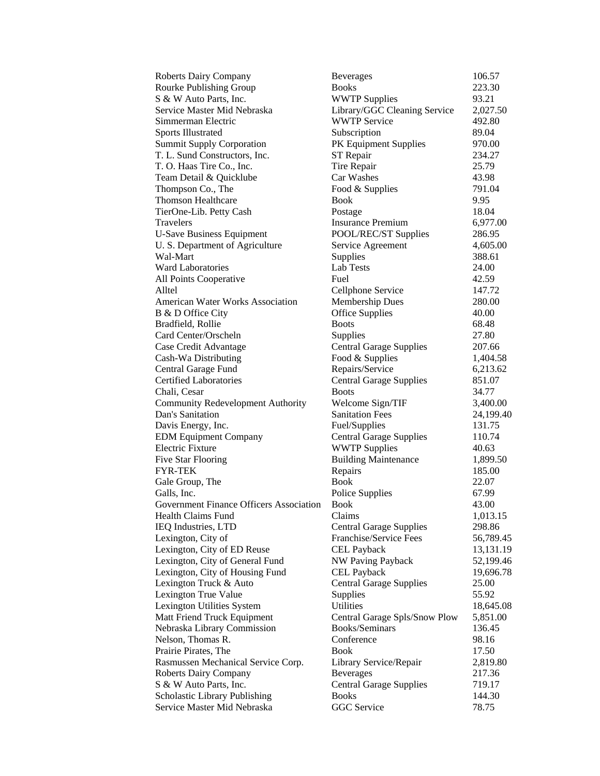| Roberts Dairy Company                    | <b>Beverages</b>               | 106.57    |
|------------------------------------------|--------------------------------|-----------|
| Rourke Publishing Group                  | <b>Books</b>                   | 223.30    |
| S & W Auto Parts, Inc.                   | <b>WWTP Supplies</b>           | 93.21     |
| Service Master Mid Nebraska              | Library/GGC Cleaning Service   | 2,027.50  |
| Simmerman Electric                       | <b>WWTP Service</b>            | 492.80    |
| <b>Sports Illustrated</b>                | Subscription                   | 89.04     |
| <b>Summit Supply Corporation</b>         | PK Equipment Supplies          | 970.00    |
| T. L. Sund Constructors, Inc.            | ST Repair                      | 234.27    |
| T. O. Haas Tire Co., Inc.                | Tire Repair                    | 25.79     |
| Team Detail & Quicklube                  | Car Washes                     | 43.98     |
| Thompson Co., The                        | Food & Supplies                | 791.04    |
| <b>Thomson Healthcare</b>                | Book                           | 9.95      |
| TierOne-Lib. Petty Cash                  | Postage                        | 18.04     |
| Travelers                                | <b>Insurance Premium</b>       | 6,977.00  |
| <b>U-Save Business Equipment</b>         | POOL/REC/ST Supplies           | 286.95    |
| U. S. Department of Agriculture          | Service Agreement              | 4,605.00  |
| Wal-Mart                                 | Supplies                       | 388.61    |
| <b>Ward Laboratories</b>                 | <b>Lab Tests</b>               | 24.00     |
| All Points Cooperative                   | Fuel                           | 42.59     |
| Alltel                                   | Cellphone Service              | 147.72    |
| <b>American Water Works Association</b>  | Membership Dues                | 280.00    |
| B & D Office City                        | <b>Office Supplies</b>         | 40.00     |
| Bradfield, Rollie                        | <b>Boots</b>                   | 68.48     |
|                                          |                                |           |
| Card Center/Orscheln                     | Supplies                       | 27.80     |
| Case Credit Advantage                    | <b>Central Garage Supplies</b> | 207.66    |
| Cash-Wa Distributing                     | Food & Supplies                | 1,404.58  |
| Central Garage Fund                      | Repairs/Service                | 6,213.62  |
| <b>Certified Laboratories</b>            | <b>Central Garage Supplies</b> | 851.07    |
| Chali, Cesar                             | <b>Boots</b>                   | 34.77     |
| <b>Community Redevelopment Authority</b> | Welcome Sign/TIF               | 3,400.00  |
| Dan's Sanitation                         | <b>Sanitation Fees</b>         | 24,199.40 |
| Davis Energy, Inc.                       | Fuel/Supplies                  | 131.75    |
| <b>EDM Equipment Company</b>             | <b>Central Garage Supplies</b> | 110.74    |
| <b>Electric Fixture</b>                  | <b>WWTP Supplies</b>           | 40.63     |
| <b>Five Star Flooring</b>                | <b>Building Maintenance</b>    | 1,899.50  |
| <b>FYR-TEK</b>                           | Repairs                        | 185.00    |
| Gale Group, The                          | Book                           | 22.07     |
| Galls, Inc.                              | Police Supplies                | 67.99     |
| Government Finance Officers Association  | Book                           | 43.00     |
| Health Claims Fund                       | Claims                         | 1,013.15  |
| IEQ Industries, LTD                      | <b>Central Garage Supplies</b> | 298.86    |
| Lexington, City of                       | Franchise/Service Fees         | 56,789.45 |
| Lexington, City of ED Reuse              | <b>CEL Payback</b>             | 13,131.19 |
| Lexington, City of General Fund          | <b>NW Paving Payback</b>       | 52,199.46 |
| Lexington, City of Housing Fund          | <b>CEL Payback</b>             | 19,696.78 |
| Lexington Truck & Auto                   | <b>Central Garage Supplies</b> | 25.00     |
| Lexington True Value                     | Supplies                       | 55.92     |
| Lexington Utilities System               | Utilities                      | 18,645.08 |
| Matt Friend Truck Equipment              | Central Garage Spls/Snow Plow  | 5,851.00  |
| Nebraska Library Commission              | Books/Seminars                 | 136.45    |
| Nelson, Thomas R.                        | Conference                     | 98.16     |
| Prairie Pirates, The                     | <b>Book</b>                    | 17.50     |
| Rasmussen Mechanical Service Corp.       | Library Service/Repair         | 2,819.80  |
| <b>Roberts Dairy Company</b>             | <b>Beverages</b>               | 217.36    |
| S & W Auto Parts, Inc.                   | <b>Central Garage Supplies</b> | 719.17    |
| Scholastic Library Publishing            | <b>Books</b>                   | 144.30    |
| Service Master Mid Nebraska              | <b>GGC</b> Service             | 78.75     |
|                                          |                                |           |

| verages                                     | 106.57                |
|---------------------------------------------|-----------------------|
| oks                                         | 223.30                |
| <b>WTP Supplies</b>                         | 93.21                 |
| brary/GGC Cleaning Service                  | 2,027.50              |
| <b>WTP Service</b>                          | 492.80                |
| bscription                                  | 89.04                 |
| <b>Equipment Supplies</b>                   | 970.00                |
| Repair                                      | 234.27                |
| re Repair                                   | 25.79                 |
| r Washes                                    | 43.98                 |
| od & Supplies                               | 791.04                |
| юk                                          | 9.95                  |
| stage                                       | 18.04                 |
| surance Premium                             | 6,977.00              |
| OL/REC/ST Supplies                          | 286.95                |
| rvice Agreement                             | 4,605.00              |
| pplies                                      | 388.61                |
| <b>b</b> Tests                              | 24.00                 |
| el                                          | 42.59                 |
| llphone Service                             | 147.72                |
| embership Dues                              | 280.00                |
| fice Supplies                               | 40.00                 |
| ots                                         | 68.48                 |
| pplies                                      | 27.80                 |
| ntral Garage Supplies                       | 207.66                |
| od & Supplies                               | 1,404.58              |
| pairs/Service                               | 6,213.62              |
| intral Garage Supplies                      | 851.07                |
| ots                                         | 34.77                 |
| elcome Sign/TIF                             | 3,400.00              |
| nitation Fees                               | 24,199.40             |
| el/Supplies                                 | 131.75                |
| intral Garage Supplies                      | 110.74                |
| <b>WTP Supplies</b>                         | 40.63                 |
| ilding Maintenance                          | 1,899.50              |
| pairs                                       | 185.00                |
| юk                                          | 22.07                 |
| lice Supplies                               | 67.99                 |
| юk                                          | 43.00                 |
| aims                                        | 1,013.15              |
| ntral Garage Supplies                       | 298.86                |
| anchise/Service Fees                        | 56,789.45             |
| <b>L</b> Payback                            | 13,131.19             |
| <b>V Paving Payback</b>                     | 52,199.46             |
| <b>EL</b> Payback                           | 19,696.78             |
| ntral Garage Supplies                       | 25.00                 |
| pplies<br>ilities                           | 55.92                 |
|                                             | 18,645.08<br>5,851.00 |
| ntral Garage Spls/Snow Plow<br>oks/Seminars | 136.45                |
| nference                                    | 98.16                 |
| юk                                          | 17.50                 |
| brary Service/Repair                        | 2,819.80              |
| verages                                     | 217.36                |
| ntral Garage Supplies                       | 719.17                |
| oks                                         | 144.30                |
| GC Service                                  | 78.75                 |
|                                             |                       |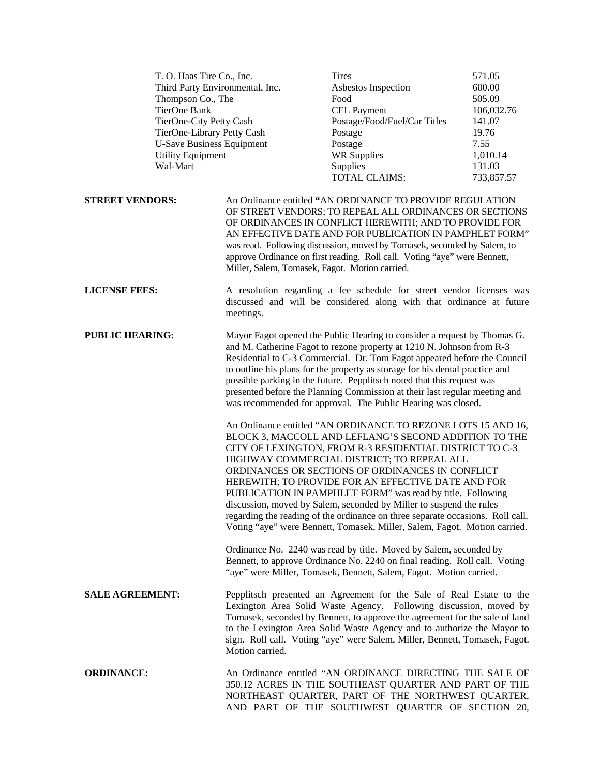| T. O. Haas Tire Co., Inc.        |                                                | <b>Tires</b>                                                                                                                                                                                                                                                                                                                                                                                                                                                                                                                                                                                                                                                                                                                                                                                                                                                                                                                                                                                                                                                                                              | 571.05     |
|----------------------------------|------------------------------------------------|-----------------------------------------------------------------------------------------------------------------------------------------------------------------------------------------------------------------------------------------------------------------------------------------------------------------------------------------------------------------------------------------------------------------------------------------------------------------------------------------------------------------------------------------------------------------------------------------------------------------------------------------------------------------------------------------------------------------------------------------------------------------------------------------------------------------------------------------------------------------------------------------------------------------------------------------------------------------------------------------------------------------------------------------------------------------------------------------------------------|------------|
| Third Party Environmental, Inc.  |                                                | Asbestos Inspection                                                                                                                                                                                                                                                                                                                                                                                                                                                                                                                                                                                                                                                                                                                                                                                                                                                                                                                                                                                                                                                                                       | 600.00     |
| Thompson Co., The                |                                                | Food                                                                                                                                                                                                                                                                                                                                                                                                                                                                                                                                                                                                                                                                                                                                                                                                                                                                                                                                                                                                                                                                                                      | 505.09     |
| <b>TierOne Bank</b>              |                                                | <b>CEL Payment</b>                                                                                                                                                                                                                                                                                                                                                                                                                                                                                                                                                                                                                                                                                                                                                                                                                                                                                                                                                                                                                                                                                        | 106,032.76 |
| TierOne-City Petty Cash          |                                                | Postage/Food/Fuel/Car Titles                                                                                                                                                                                                                                                                                                                                                                                                                                                                                                                                                                                                                                                                                                                                                                                                                                                                                                                                                                                                                                                                              | 141.07     |
| TierOne-Library Petty Cash       |                                                | Postage                                                                                                                                                                                                                                                                                                                                                                                                                                                                                                                                                                                                                                                                                                                                                                                                                                                                                                                                                                                                                                                                                                   | 19.76      |
| <b>U-Save Business Equipment</b> |                                                | Postage                                                                                                                                                                                                                                                                                                                                                                                                                                                                                                                                                                                                                                                                                                                                                                                                                                                                                                                                                                                                                                                                                                   | 7.55       |
| <b>Utility Equipment</b>         |                                                | <b>WR Supplies</b>                                                                                                                                                                                                                                                                                                                                                                                                                                                                                                                                                                                                                                                                                                                                                                                                                                                                                                                                                                                                                                                                                        | 1,010.14   |
| Wal-Mart                         |                                                | Supplies                                                                                                                                                                                                                                                                                                                                                                                                                                                                                                                                                                                                                                                                                                                                                                                                                                                                                                                                                                                                                                                                                                  | 131.03     |
|                                  |                                                | <b>TOTAL CLAIMS:</b>                                                                                                                                                                                                                                                                                                                                                                                                                                                                                                                                                                                                                                                                                                                                                                                                                                                                                                                                                                                                                                                                                      | 733,857.57 |
|                                  |                                                |                                                                                                                                                                                                                                                                                                                                                                                                                                                                                                                                                                                                                                                                                                                                                                                                                                                                                                                                                                                                                                                                                                           |            |
| <b>STREET VENDORS:</b>           | Miller, Salem, Tomasek, Fagot. Motion carried. | An Ordinance entitled "AN ORDINANCE TO PROVIDE REGULATION<br>OF STREET VENDORS; TO REPEAL ALL ORDINANCES OR SECTIONS<br>OF ORDINANCES IN CONFLICT HEREWITH; AND TO PROVIDE FOR<br>AN EFFECTIVE DATE AND FOR PUBLICATION IN PAMPHLET FORM"<br>was read. Following discussion, moved by Tomasek, seconded by Salem, to<br>approve Ordinance on first reading. Roll call. Voting "aye" were Bennett,                                                                                                                                                                                                                                                                                                                                                                                                                                                                                                                                                                                                                                                                                                         |            |
| <b>LICENSE FEES:</b>             | meetings.                                      | A resolution regarding a fee schedule for street vendor licenses was<br>discussed and will be considered along with that ordinance at future                                                                                                                                                                                                                                                                                                                                                                                                                                                                                                                                                                                                                                                                                                                                                                                                                                                                                                                                                              |            |
| <b>PUBLIC HEARING:</b>           |                                                | Mayor Fagot opened the Public Hearing to consider a request by Thomas G.<br>and M. Catherine Fagot to rezone property at 1210 N. Johnson from R-3<br>Residential to C-3 Commercial. Dr. Tom Fagot appeared before the Council<br>to outline his plans for the property as storage for his dental practice and<br>possible parking in the future. Pepplitsch noted that this request was<br>presented before the Planning Commission at their last regular meeting and<br>was recommended for approval. The Public Hearing was closed.<br>An Ordinance entitled "AN ORDINANCE TO REZONE LOTS 15 AND 16,<br>BLOCK 3, MACCOLL AND LEFLANG'S SECOND ADDITION TO THE<br>CITY OF LEXINGTON, FROM R-3 RESIDENTIAL DISTRICT TO C-3<br>HIGHWAY COMMERCIAL DISTRICT; TO REPEAL ALL<br>ORDINANCES OR SECTIONS OF ORDINANCES IN CONFLICT<br>HEREWITH; TO PROVIDE FOR AN EFFECTIVE DATE AND FOR<br>PUBLICATION IN PAMPHLET FORM" was read by title. Following<br>discussion, moved by Salem, seconded by Miller to suspend the rules<br>regarding the reading of the ordinance on three separate occasions. Roll call. |            |
|                                  |                                                | Voting "aye" were Bennett, Tomasek, Miller, Salem, Fagot. Motion carried.<br>Ordinance No. 2240 was read by title. Moved by Salem, seconded by<br>Bennett, to approve Ordinance No. 2240 on final reading. Roll call. Voting<br>"aye" were Miller, Tomasek, Bennett, Salem, Fagot. Motion carried.                                                                                                                                                                                                                                                                                                                                                                                                                                                                                                                                                                                                                                                                                                                                                                                                        |            |
| <b>SALE AGREEMENT:</b>           | Motion carried.                                | Pepplitsch presented an Agreement for the Sale of Real Estate to the<br>Lexington Area Solid Waste Agency. Following discussion, moved by<br>Tomasek, seconded by Bennett, to approve the agreement for the sale of land<br>to the Lexington Area Solid Waste Agency and to authorize the Mayor to<br>sign. Roll call. Voting "aye" were Salem, Miller, Bennett, Tomasek, Fagot.                                                                                                                                                                                                                                                                                                                                                                                                                                                                                                                                                                                                                                                                                                                          |            |
| <b>ORDINANCE:</b>                |                                                | An Ordinance entitled "AN ORDINANCE DIRECTING THE SALE OF<br>350.12 ACRES IN THE SOUTHEAST QUARTER AND PART OF THE<br>NORTHEAST QUARTER, PART OF THE NORTHWEST QUARTER,<br>AND PART OF THE SOUTHWEST QUARTER OF SECTION 20,                                                                                                                                                                                                                                                                                                                                                                                                                                                                                                                                                                                                                                                                                                                                                                                                                                                                               |            |